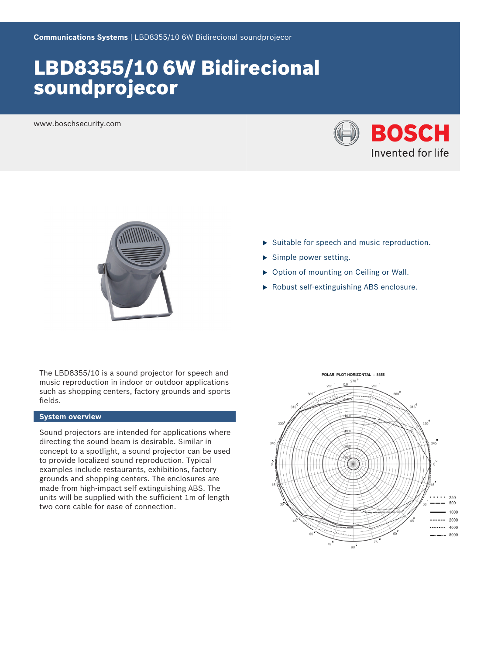# LBD8355/10 6W Bidirecional soundprojecor

www.boschsecurity.com





The LBD8355/10 is a sound projector for speech and music reproduction in indoor or outdoor applications such as shopping centers, factory grounds and sports fields.

#### **System overview**

Sound projectors are intended for applications where directing the sound beam is desirable. Similar in concept to a spotlight, a sound projector can be used to provide localized sound reproduction. Typical examples include restaurants, exhibitions, factory grounds and shopping centers. The enclosures are made from high-impact self extinguishing ABS. The units will be supplied with the sufficient 1m of length two core cable for ease of connection.

- $\triangleright$  Suitable for speech and music reproduction.
- $\blacktriangleright$  Simple power setting.
- $\triangleright$  Option of mounting on Ceiling or Wall.
- $\blacktriangleright$  Robust self-extinguishing ABS enclosure.

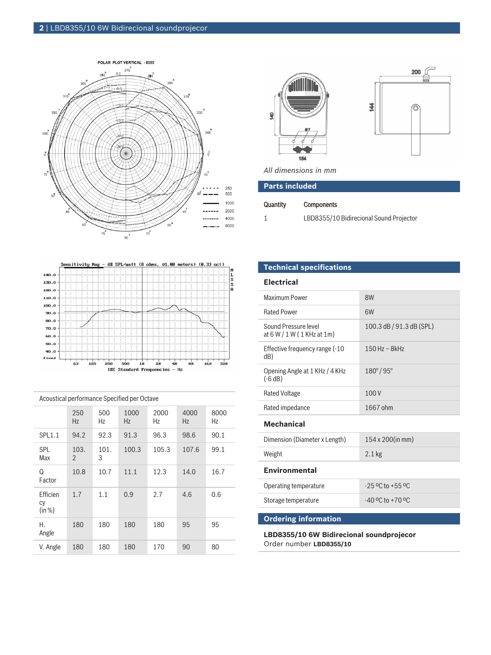



*All dimensions in mm*

| <b>Parts included</b> |  |
|-----------------------|--|
|                       |  |

### Quantity Components

1 LBD8355/10 Bidirecional Sound Projector



| Acoustical performance Specified per Octave |                        |           |                   |            |            |            |  |  |
|---------------------------------------------|------------------------|-----------|-------------------|------------|------------|------------|--|--|
|                                             | 250<br>Hz              | 500<br>Hz | 1000<br><b>Hz</b> | 2000<br>Hz | 4000<br>Hz | 8000<br>Hz |  |  |
| SPL1.1                                      | 94.2                   | 92.3      | 91.3              | 96.3       | 98.6       | 90.1       |  |  |
| <b>SPL</b><br>Max                           | 103.<br>$\mathfrak{D}$ | 101.<br>3 | 100.3             | 105.3      | 107.6      | 99.1       |  |  |
| Q<br>Factor                                 | 10.8                   | 10.7      | 11.1              | 12.3       | 14.0       | 16.7       |  |  |
| <b>Ffficien</b><br>CV<br>(in %)             | 1.7                    | 1.1       | 0.9               | 2.7        | 4.6        | 0.6        |  |  |
| Н.<br>Angle                                 | 180                    | 180       | 180               | 180        | 95         | 95         |  |  |
| V. Angle                                    | 180                    | 180       | 180               | 170        | 90         | 80         |  |  |

**Technical specifications**

## **Electrical**

| <b>Maximum Power</b>                                                | 8W                       |  |  |  |  |  |
|---------------------------------------------------------------------|--------------------------|--|--|--|--|--|
| <b>Rated Power</b>                                                  | 6W                       |  |  |  |  |  |
| Sound Pressure level<br>at $6 W / 1 W (1 KHz at 1m)$                | 100.3 dB / 91.3 dB (SPL) |  |  |  |  |  |
| Effective frequency range (-10<br>dB)                               | 150 Hz - 8kHz            |  |  |  |  |  |
| Opening Angle at 1 KHz / 4 KHz<br>$(-6 dB)$                         | $180^{\circ}/95^{\circ}$ |  |  |  |  |  |
| <b>Rated Voltage</b>                                                | 100V                     |  |  |  |  |  |
| Rated impedance                                                     | 1667 ohm                 |  |  |  |  |  |
| <b>Mechanical</b>                                                   |                          |  |  |  |  |  |
| Dimension (Diameter x Length)                                       | 154 x 200(in mm)         |  |  |  |  |  |
| Weight                                                              | $2.1$ kg                 |  |  |  |  |  |
| <b>Environmental</b>                                                |                          |  |  |  |  |  |
| Operating temperature                                               | $-25$ °C to $+55$ °C     |  |  |  |  |  |
| Storage temperature                                                 | $-40$ °C to $+70$ °C     |  |  |  |  |  |
|                                                                     |                          |  |  |  |  |  |
| <b>Ordering information</b>                                         |                          |  |  |  |  |  |
| $\blacksquare$ DD02E $\blacksquare$ 10 CM Didivasional coundnuaiosa |                          |  |  |  |  |  |

**LBD8355/10 6W Bidirecional soundprojecor** Order number **LBD8355/10**